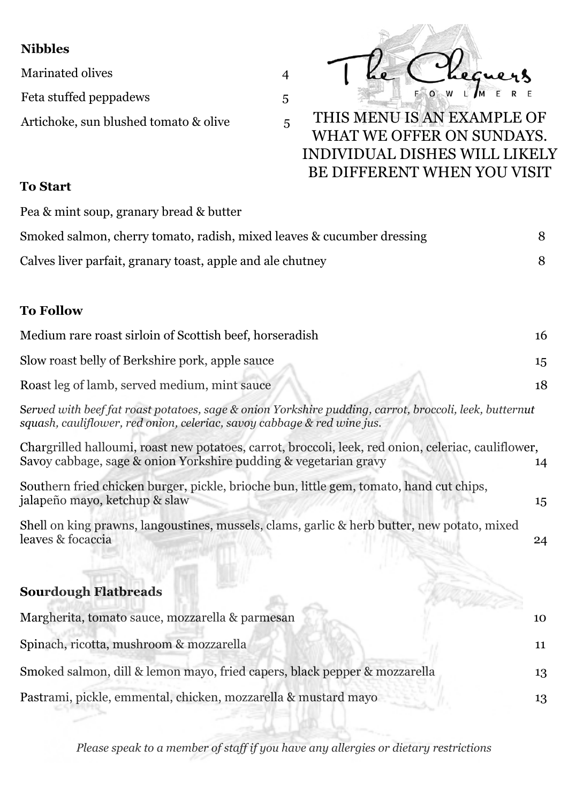## **Nibbles**

Marinated olives 4 Feta stuffed peppadews 5 Artichoke, sun blushed tomato & olive 5

## THIS MENU IS AN EXAMPLE OF WHAT WE OFFER ON SUNDAYS. INDIVIDUAL DISHES WILL LIKELY BE DIFFERENT WHEN YOU VISIT

## **To Start**

Pea & mint soup, granary bread & butter Smoked salmon, cherry tomato, radish, mixed leaves & cucumber dressing 8 Calves liver parfait, granary toast, apple and ale chutney 8 **To Follow** Medium rare roast sirloin of Scottish beef, horseradish 16 Slow roast belly of Berkshire pork, apple sauce 15 Roast leg of lamb, served medium, mint sauce 18 S*erved with beef fat roast potatoes, sage & onion Yorkshire pudding, carrot, broccoli, leek, butternut squash, cauliflower, red onion, celeriac, savoy cabbage & red wine jus.*  Chargrilled halloumi, roast new potatoes, carrot, broccoli, leek, red onion, celeriac, cauliflower, Savoy cabbage, sage & onion Yorkshire pudding & vegetarian gravy 14 Southern fried chicken burger, pickle, brioche bun, little gem, tomato, hand cut chips, jalapeño mayo, ketchup & slaw 15 Shell on king prawns, langoustines, mussels, clams, garlic & herb butter, new potato, mixed leaves & focaccia 24 **Sourdough Flatbreads** Margherita, tomato sauce, mozzarella & parmesan 10 Spinach, ricotta, mushroom & mozzarella 11 Smoked salmon, dill & lemon mayo, fried capers, black pepper & mozzarella 13

 $\overline{4}$ 

*Please speak to a member of staff if you have any allergies or dietary restrictions*

Pastrami, pickle, emmental, chicken, mozzarella & mustard mayo 13